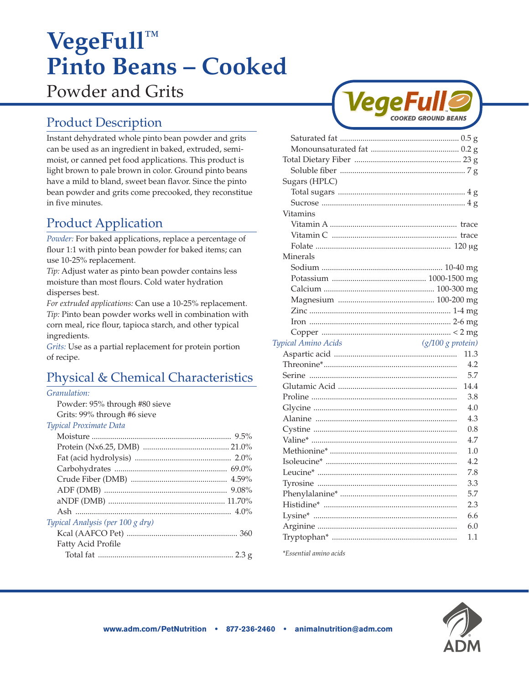# **VegeFull™ Pinto Beans – Cooked**  Powder and Grits

# Product Description

Instant dehydrated whole pinto bean powder and grits can be used as an ingredient in baked, extruded, semimoist, or canned pet food applications. This product is light brown to pale brown in color. Ground pinto beans have a mild to bland, sweet bean flavor. Since the pinto bean powder and grits come precooked, they reconstitue in five minutes.

# Product Application

*Powder:* For baked applications, replace a percentage of flour 1:1 with pinto bean powder for baked items; can use 10-25% replacement.

*Tip:* Adjust water as pinto bean powder contains less moisture than most flours. Cold water hydration disperses best.

*For extruded applications:* Can use a 10-25% replacement. *Tip:* Pinto bean powder works well in combination with corn meal, rice flour, tapioca starch, and other typical ingredients.

*Grits:* Use as a partial replacement for protein portion of recipe.

# Physical & Chemical Characteristics

#### *Granulation:*

Powder: 95% through #80 sieve Grits: 99% through #6 sieve

#### *Typical Proximate Data*

| Typical Analysis (per 100 g dry) |  |
|----------------------------------|--|
|                                  |  |
| Fatty Acid Profile               |  |
|                                  |  |



| Sugars (HPLC)                              |      |
|--------------------------------------------|------|
|                                            |      |
|                                            |      |
| Vitamins                                   |      |
|                                            |      |
|                                            |      |
|                                            |      |
| Minerals                                   |      |
|                                            |      |
|                                            |      |
|                                            |      |
|                                            |      |
|                                            |      |
|                                            |      |
|                                            |      |
| $(g/100 g$ protein)<br>Typical Amino Acids |      |
|                                            | 11.3 |
|                                            | 4.2  |
|                                            | 5.7  |
|                                            | 14.4 |
|                                            | 3.8  |
|                                            | 4.0  |
|                                            | 4.3  |
|                                            | 0.8  |
|                                            | 4.7  |
|                                            | 1.0  |
|                                            | 4.2  |
|                                            | 7.8  |
|                                            | 3.3  |
|                                            | 5.7  |
|                                            | 2.3  |
|                                            | 6.6  |
|                                            | 6.0  |
|                                            | 1.1  |
|                                            |      |
| <i>*Essential amino acids</i>              |      |